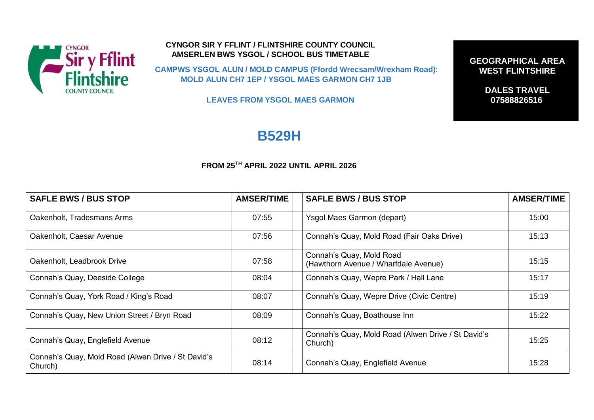

## **CYNGOR SIR Y FFLINT / FLINTSHIRE COUNTY COUNCIL AMSERLEN BWS YSGOL / SCHOOL BUS TIMETABLE**

**CAMPWS YSGOL ALUN / MOLD CAMPUS (Ffordd Wrecsam/Wrexham Road): MOLD ALUN CH7 1EP / YSGOL MAES GARMON CH7 1JB** 

**LEAVES FROM YSGOL MAES GARMON** 

## **B529H**

## **FROM 25TH APRIL 2022 UNTIL APRIL 2026**

| <b>SAFLE BWS / BUS STOP</b>                                   | <b>AMSER/TIME</b> | <b>SAFLE BWS / BUS STOP</b>                                      | <b>AMSER/TIME</b> |
|---------------------------------------------------------------|-------------------|------------------------------------------------------------------|-------------------|
| Oakenholt, Tradesmans Arms                                    | 07:55             | Ysgol Maes Garmon (depart)                                       | 15:00             |
| Oakenholt, Caesar Avenue                                      | 07:56             | Connah's Quay, Mold Road (Fair Oaks Drive)                       | 15:13             |
| Oakenholt, Leadbrook Drive                                    | 07:58             | Connah's Quay, Mold Road<br>(Hawthorn Avenue / Wharfdale Avenue) | 15:15             |
| Connah's Quay, Deeside College                                | 08:04             | Connah's Quay, Wepre Park / Hall Lane                            | 15:17             |
| Connah's Quay, York Road / King's Road                        | 08:07             | Connah's Quay, Wepre Drive (Civic Centre)                        | 15:19             |
| Connah's Quay, New Union Street / Bryn Road                   | 08:09             | Connah's Quay, Boathouse Inn                                     | 15:22             |
| Connah's Quay, Englefield Avenue                              | 08:12             | Connah's Quay, Mold Road (Alwen Drive / St David's<br>Church)    | 15:25             |
| Connah's Quay, Mold Road (Alwen Drive / St David's<br>Church) | 08:14             | Connah's Quay, Englefield Avenue                                 | 15:28             |

**GEOGRAPHICAL AREA WEST FLINTSHIRE**

> **DALES TRAVEL 07588826516 Tel:**